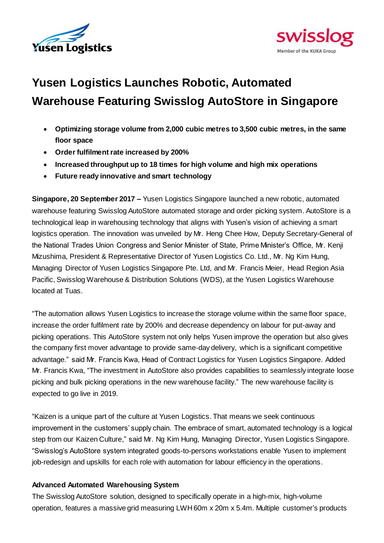



# **Yusen Logistics Launches Robotic, Automated Warehouse Featuring Swisslog AutoStore in Singapore**

- **Optimizing storage volume from 2,000 cubic metres to 3,500 cubic metres, in the same floor space**
- **Order fulfilment rate increased by 200%**
- **Increased throughput up to 18 times for high volume and high mix operations**
- **Future ready innovative and smart technology**

**Singapore, 20 September 2017 –** Yusen Logistics Singapore launched a new robotic, automated warehouse featuring Swisslog AutoStore automated storage and order picking system. AutoStore is a technological leap in warehousing technology that aligns with Yusen's vision of achieving a smart logistics operation. The innovation was unveiled by Mr. Heng Chee How, Deputy Secretary-General of the National Trades Union Congress and Senior Minister of State, Prime Minister's Office, Mr. Kenji Mizushima, President & Representative Director of Yusen Logistics Co. Ltd., Mr. Ng Kim Hung, Managing Director of Yusen Logistics Singapore Pte. Ltd, and Mr. Francis Meier, Head Region Asia Pacific, Swisslog Warehouse & Distribution Solutions (WDS), at the Yusen Logistics Warehouse located at Tuas.

"The automation allows Yusen Logistics to increase the storage volume within the same floor space, increase the order fulfilment rate by 200% and decrease dependency on labour for put-away and picking operations. This AutoStore system not only helps Yusen improve the operation but also gives the company first mover advantage to provide same-day delivery, which is a significant competitive advantage." said Mr. Francis Kwa, Head of Contract Logistics for Yusen Logistics Singapore. Added Mr. Francis Kwa, "The investment in AutoStore also provides capabilities to seamlessly integrate loose picking and bulk picking operations in the new warehouse facility." The new warehouse facility is expected to go live in 2019.

"Kaizen is a unique part of the culture at Yusen Logistics. That means we seek continuous improvement in the customers' supply chain. The embrace of smart, automated technology is a logical step from our Kaizen Culture," said Mr. Ng Kim Hung, Managing Director, Yusen Logistics Singapore. "Swisslog's AutoStore system integrated goods-to-persons workstations enable Yusen to implement job-redesign and upskills for each role with automation for labour efficiency in the operations.

## **Advanced Automated Warehousing System**

The Swisslog AutoStore solution, designed to specifically operate in a high-mix, high-volume operation, features a massive grid measuring LWH 60m x 20m x 5.4m. Multiple customer's products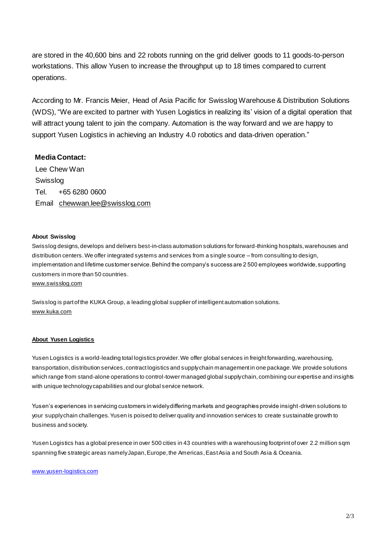are stored in the 40,600 bins and 22 robots running on the grid deliver goods to 11 goods-to-person workstations. This allow Yusen to increase the throughput up to 18 times compared to current operations.

According to Mr. Francis Meier, Head of Asia Pacific for Swisslog Warehouse & Distribution Solutions (WDS), "We are excited to partner with Yusen Logistics in realizing its' vision of a digital operation that will attract young talent to join the company. Automation is the way forward and we are happy to support Yusen Logistics in achieving an Industry 4.0 robotics and data-driven operation."

### **Media Contact:**

Lee Chew Wan Swisslog Tel. +65 6280 0600 Email [chewwan.lee@swisslog.com](mailto:chewwan.lee@swisslog.com)

#### **About Swisslog**

Swisslog designs, develops and delivers best-in-class automation solutions for forward-thinking hospitals, warehouses and distribution centers. We offer integrated systems and services from a single source – from consulting to design, implementation and lifetime customer service. Behind the company's success are 2 500 employees worldwide, supporting customers in more than 50 countries.

[www.swisslog.com](http://www.swisslog.com/)

Swisslog is part of the KUKA Group, a leading global supplier of intelligent automation solutions. [www.kuka.com](http://www.kuka.com/)

#### **About Yusen Logistics**

Yusen Logistics is a world-leading total logistics provider. We offer global services in freight forwarding, warehousing, transportation, distribution services, contract logistics and supply chain management in one package. We provide solutions which range from stand-alone operations to control-tower managed global supply chain, combining our expertise and insights with unique technology capabilities and our global service network.

Yusen's experiences in servicing customers in widely differing markets and geographies provide insight-driven solutions to your supply chain challenges. Yusen is poised to deliver quality and innovation services to create sustainable growth to business and society.

Yusen Logistics has a global presence in over 500 cities in 43 countries with a warehousing footprint of over 2.2 million sqm spanning five strategic areas namely Japan, Europe, the Americas, East Asia and South Asia & Oceania.

[www.yusen-logistics.com](http://www.yusen-logistics.com/)